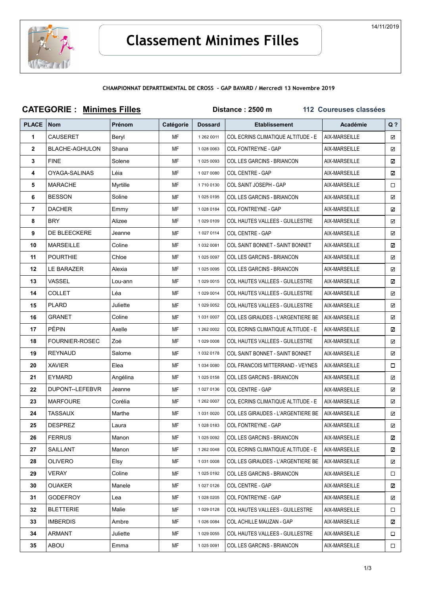

## CHAMPIONNAT DEPARTEMENTAL DE CROSS - GAP BAYARD / Mercredi 13 Novembre 2019

| <b>CATEGORIE: Minimes Filles</b> |                       |               |           | 112 Coureuses classées<br>Distance: 2500 m |                                           |               |        |
|----------------------------------|-----------------------|---------------|-----------|--------------------------------------------|-------------------------------------------|---------------|--------|
| <b>PLACE</b>                     | <b>Nom</b>            | <b>Prénom</b> | Catégorie | <b>Dossard</b>                             | <b>Etablissement</b>                      | Académie      | $Q$ ?  |
| 1                                | <b>CAUSERET</b>       | Beryl         | MF        | 1 262 0011                                 | COL ECRINS CLIMATIQUE ALTITUDE - E        | AIX-MARSEILLE | ☑      |
| $\mathbf{2}$                     | <b>BLACHE-AGHULON</b> | Shana         | MF        | 1 028 0063                                 | <b>COL FONTREYNE - GAP</b>                | AIX-MARSEILLE | ☑      |
| 3                                | <b>FINE</b>           | Solene        | MF        | 1 025 0093                                 | COL LES GARCINS - BRIANCON                | AIX-MARSEILLE | ☑      |
| 4                                | OYAGA-SALINAS         | Léia          | МF        | 1 027 0080                                 | COL CENTRE - GAP                          | AIX-MARSEILLE | ☑      |
| 5                                | <b>MARACHE</b>        | Myrtille      | МF        | 17100130                                   | COL SAINT JOSEPH - GAP                    | AIX-MARSEILLE | □      |
| 6                                | <b>BESSON</b>         | Soline        | МF        | 1 025 0195                                 | COL LES GARCINS - BRIANCON                | AIX-MARSEILLE | ☑      |
| 7                                | <b>DACHER</b>         | Emmy          | MF        | 10280184                                   | COL FONTREYNE - GAP                       | AIX-MARSEILLE | ☑      |
| 8                                | <b>BRY</b>            | Alizee        | MF        | 1 029 0109                                 | <b>COL HAUTES VALLEES - GUILLESTRE</b>    | AIX-MARSEILLE | ☑      |
| 9                                | DE BLEECKERE          | Jeanne        | MF        | 1 027 0114                                 | COL CENTRE - GAP                          | AIX-MARSEILLE | ☑      |
| 10                               | <b>MARSEILLE</b>      | Coline        | МF        | 1 032 0081                                 | <b>COL SAINT BONNET - SAINT BONNET</b>    | AIX-MARSEILLE | ☑      |
| 11                               | <b>POURTHIE</b>       | Chloe         | MF        | 1 025 0097                                 | COL LES GARCINS - BRIANCON                | AIX-MARSEILLE | ☑      |
| 12                               | LE BARAZER            | Alexia        | МF        | 1 025 0095                                 | COL LES GARCINS - BRIANCON                | AIX-MARSEILLE | ☑      |
| 13                               | VASSEL                | Lou-ann       | MF        | 1 029 0015                                 | <b>COL HAUTES VALLEES - GUILLESTRE</b>    | AIX-MARSEILLE | ☑      |
| 14                               | <b>COLLET</b>         | Léa           | МF        | 1 029 0014                                 | <b>COL HAUTES VALLEES - GUILLESTRE</b>    | AIX-MARSEILLE | ☑      |
| 15                               | <b>PLARD</b>          | Juliette      | MF        | 1 029 0052                                 | <b>COL HAUTES VALLEES - GUILLESTRE</b>    | AIX-MARSEILLE | ☑      |
| 16                               | GRANET                | Coline        | MF        | 1 031 0007                                 | COL LES GIRAUDES - L'ARGENTIERE BE        | AIX-MARSEILLE | ☑      |
| 17                               | <b>PÉPIN</b>          | Axelle        | МF        | 1 262 0002                                 | <b>COL ECRINS CLIMATIQUE ALTITUDE - E</b> | AIX-MARSEILLE | ☑      |
| 18                               | <b>FOURNIER-ROSEC</b> | Zoé           | MF        | 1 029 0008                                 | <b>COL HAUTES VALLEES - GUILLESTRE</b>    | AIX-MARSEILLE | ☑      |
| 19                               | <b>REYNAUD</b>        | Salome        | МF        | 1 032 0178                                 | <b>COL SAINT BONNET - SAINT BONNET</b>    | AIX-MARSEILLE | ☑      |
| 20                               | <b>XAVIER</b>         | Elea          | MF        | 1 034 0080                                 | COL FRANCOIS MITTERRAND - VEYNES          | AIX-MARSEILLE | □      |
| 21                               | <b>EYMARD</b>         | Angélina      | МF        | 10250158                                   | COL LES GARCINS - BRIANCON                | AIX-MARSEILLE | ☑      |
| 22                               | DUPONT--LEFEBVR       | Jeanne        | MF        | 1 027 0136                                 | COL CENTRE - GAP                          | AIX-MARSEILLE | ☑      |
| 23                               | <b>MARFOURE</b>       | Corélia       | МF        | 1 262 0007                                 | <b>COL ECRINS CLIMATIQUE ALTITUDE - E</b> | AIX-MARSEILLE | ☑      |
| 24                               | <b>TASSAUX</b>        | Marthe        | МF        | 1 031 0020                                 | COL LES GIRAUDES - L'ARGENTIERE BE        | AIX-MARSEILLE | ☑      |
| 25                               | <b>DESPREZ</b>        | Laura         | MF        | 10280183                                   | <b>COL FONTREYNE - GAP</b>                | AIX-MARSEILLE | ☑      |
| 26                               | <b>FERRUS</b>         | Manon         | MF        | 1 025 0092                                 | COL LES GARCINS - BRIANCON                | AIX-MARSEILLE | ☑      |
| 27                               | SAILLANT              | Manon         | МF        | 1 262 0048                                 | COL ECRINS CLIMATIQUE ALTITUDE - E        | AIX-MARSEILLE | ☑      |
| 28                               | <b>OLIVERO</b>        | Elsy          | MF        | 1 031 0008                                 | COL LES GIRAUDES - L'ARGENTIERE BE        | AIX-MARSEILLE | ☑      |
| 29                               | <b>VERAY</b>          | Coline        | MF        | 1 025 0192                                 | COL LES GARCINS - BRIANCON                | AIX-MARSEILLE | □      |
| 30                               | OUAKER                | Manele        | MF        | 1 027 0126                                 | COL CENTRE - GAP                          | AIX-MARSEILLE | ☑      |
| 31                               | GODEFROY              | Lea           | MF        | 1 028 0205                                 | COL FONTREYNE - GAP                       | AIX-MARSEILLE | ☑      |
| 32                               | <b>BLETTERIE</b>      | Malie         | MF        | 1 029 0128                                 | COL HAUTES VALLEES - GUILLESTRE           | AIX-MARSEILLE | □      |
| 33                               | <b>IMBERDIS</b>       | Ambre         | MF        | 1 026 0084                                 | COL ACHILLE MAUZAN - GAP                  | AIX-MARSEILLE | ☑      |
| 34                               | ARMANT                | Juliette      | MF        | 1 029 0055                                 | <b>COL HAUTES VALLEES - GUILLESTRE</b>    | AIX-MARSEILLE | $\Box$ |
| 35                               | ABOU                  | Emma          | MF        | 1 025 0091                                 | COL LES GARCINS - BRIANCON                | AIX-MARSEILLE | $\Box$ |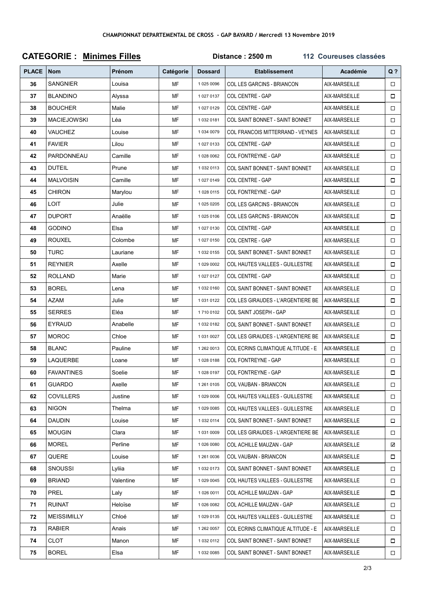| <b>CATEGORIE: Minimes Filles</b> |                    |           |           | Distance: 2500 m<br>112 Coureuses classées |                                        |               |        |  |
|----------------------------------|--------------------|-----------|-----------|--------------------------------------------|----------------------------------------|---------------|--------|--|
| <b>PLACE</b>                     | <b>Nom</b>         | Prénom    | Catégorie | <b>Dossard</b>                             | <b>Etablissement</b>                   | Académie      | $Q$ ?  |  |
| 36                               | <b>SANGNIER</b>    | Louisa    | MF        | 1 025 0096                                 | COL LES GARCINS - BRIANCON             | AIX-MARSEILLE | $\Box$ |  |
| 37                               | <b>BLANDINO</b>    | Alyssa    | MF        | 1 027 0137                                 | COL CENTRE - GAP                       | AIX-MARSEILLE | $\Box$ |  |
| 38                               | <b>BOUCHER</b>     | Malie     | MF        | 1 027 0129                                 | COL CENTRE - GAP                       | AIX-MARSEILLE | $\Box$ |  |
| 39                               | <b>MACIEJOWSKI</b> | Léa       | MF        | 10320181                                   | COL SAINT BONNET - SAINT BONNET        | AIX-MARSEILLE | $\Box$ |  |
| 40                               | VAUCHEZ            | Louise    | MF        | 1 034 0079                                 | COL FRANCOIS MITTERRAND - VEYNES       | AIX-MARSEILLE | $\Box$ |  |
| 41                               | <b>FAVIER</b>      | Lilou     | MF        | 10270133                                   | COL CENTRE - GAP                       | AIX-MARSEILLE | $\Box$ |  |
| 42                               | PARDONNEAU         | Camille   | MF        | 1 028 0062                                 | COL FONTREYNE - GAP                    | AIX-MARSEILLE | $\Box$ |  |
| 43                               | <b>DUTEIL</b>      | Prune     | MF        | 1 032 0113                                 | <b>COL SAINT BONNET - SAINT BONNET</b> | AIX-MARSEILLE | $\Box$ |  |
| 44                               | <b>MALVOISIN</b>   | Camille   | MF        | 10270149                                   | COL CENTRE - GAP                       | AIX-MARSEILLE | $\Box$ |  |
| 45                               | <b>CHIRON</b>      | Marylou   | МF        | 1 028 0115                                 | COL FONTREYNE - GAP                    | AIX-MARSEILLE | $\Box$ |  |
| 46                               | <b>LOIT</b>        | Julie     | MF        | 1 025 0205                                 | COL LES GARCINS - BRIANCON             | AIX-MARSEILLE | $\Box$ |  |
| 47                               | <b>DUPORT</b>      | Anaëlle   | MF        | 10250106                                   | <b>COL LES GARCINS - BRIANCON</b>      | AIX-MARSEILLE | $\Box$ |  |
| 48                               | <b>GODINO</b>      | Elsa      | MF        | 1 027 0130                                 | COL CENTRE - GAP                       | AIX-MARSEILLE | $\Box$ |  |
| 49                               | <b>ROUXEL</b>      | Colombe   | MF        | 1 027 0150                                 | COL CENTRE - GAP                       | AIX-MARSEILLE | $\Box$ |  |
| 50                               | TURC               | Lauriane  | MF        | 1 032 0155                                 | <b>COL SAINT BONNET - SAINT BONNET</b> | AIX-MARSEILLE | $\Box$ |  |
| 51                               | <b>REYNIER</b>     | Axelle    | MF        | 1 029 0002                                 | COL HAUTES VALLEES - GUILLESTRE        | AIX-MARSEILLE | $\Box$ |  |
| 52                               | <b>ROLLAND</b>     | Marie     | MF        | 1 027 0127                                 | COL CENTRE - GAP                       | AIX-MARSEILLE | $\Box$ |  |
| 53                               | <b>BOREL</b>       | Lena      | MF        | 1 032 0160                                 | COL SAINT BONNET - SAINT BONNET        | AIX-MARSEILLE | $\Box$ |  |
| 54                               | AZAM               | Julie     | MF        | 1 031 0122                                 | COL LES GIRAUDES - L'ARGENTIERE BE     | AIX-MARSEILLE | $\Box$ |  |
| 55                               | <b>SERRES</b>      | Eléa      | MF        | 17100102                                   | COL SAINT JOSEPH - GAP                 | AIX-MARSEILLE | $\Box$ |  |
| 56                               | EYRAUD             | Anabelle  | MF        | 10320182                                   | COL SAINT BONNET - SAINT BONNET        | AIX-MARSEILLE | $\Box$ |  |
| 57                               | <b>MOROC</b>       | Chloe     | MF        | 1 031 0027                                 | COL LES GIRAUDES - L'ARGENTIERE BE     | AIX-MARSEILLE | $\Box$ |  |
| 58                               | <b>BLANC</b>       | Pauline   | MF        | 1 262 0013                                 | COL ECRINS CLIMATIQUE ALTITUDE - E     | AIX-MARSEILLE | $\Box$ |  |
| 59                               | LAQUERBE           | Loane     | MF        | 10280188                                   | COL FONTREYNE - GAP                    | AIX-MARSEILLE | $\Box$ |  |
| 60                               | <b>FAVANTINES</b>  | Soelie    | MF        | 10280197                                   | COL FONTREYNE - GAP                    | AIX-MARSEILLE | $\Box$ |  |
| 61                               | <b>GUARDO</b>      | Axelle    | MF        | 1 261 0105                                 | COL VAUBAN - BRIANCON                  | AIX-MARSEILLE | $\Box$ |  |
| 62                               | <b>COVILLERS</b>   | Justine   | MF        | 1 029 0006                                 | <b>COL HAUTES VALLEES - GUILLESTRE</b> | AIX-MARSEILLE | $\Box$ |  |
| 63                               | <b>NIGON</b>       | Thelma    | MF        | 1 029 0085                                 | <b>COL HAUTES VALLEES - GUILLESTRE</b> | AIX-MARSEILLE |        |  |
| 64                               | <b>DAUDIN</b>      | Louise    | MF        | 1 032 0114                                 | COL SAINT BONNET - SAINT BONNET        | AIX-MARSEILLE | $\Box$ |  |
| 65                               | <b>MOUGIN</b>      | Clara     | MF        | 1 031 0009                                 | COL LES GIRAUDES - L'ARGENTIERE BE     | AIX-MARSEILLE | $\Box$ |  |
| 66                               | <b>MOREL</b>       | Perline   | MF        | 1 026 0080                                 | COL ACHILLE MAUZAN - GAP               | AIX-MARSEILLE | ☑      |  |
| 67                               | QUERE              | Louise    | MF        | 1 261 0036                                 | COL VAUBAN - BRIANCON                  | AIX-MARSEILLE | $\Box$ |  |
| 68                               | <b>SNOUSSI</b>     | Lyliia    | MF        | 1 032 0173                                 | <b>COL SAINT BONNET - SAINT BONNET</b> | AIX-MARSEILLE | $\Box$ |  |
| 69                               | <b>BRIAND</b>      | Valentine | MF        | 1 029 0045                                 | COL HAUTES VALLEES - GUILLESTRE        | AIX-MARSEILLE | $\Box$ |  |
| 70                               | PREL               | Laly      | MF        | 1 026 0011                                 | COL ACHILLE MAUZAN - GAP               | AIX-MARSEILLE | $\Box$ |  |
| 71                               | <b>RUINAT</b>      | Heloïse   | MF        | 10260082                                   | COL ACHILLE MAUZAN - GAP               | AIX-MARSEILLE | $\Box$ |  |
| 72                               | <b>MEISSIMILLY</b> | Chloé     | MF        | 1 029 0135                                 | COL HAUTES VALLEES - GUILLESTRE        | AIX-MARSEILLE | $\Box$ |  |
| 73                               | <b>RABIER</b>      | Anais     | MF        | 1 262 0057                                 | COL ECRINS CLIMATIQUE ALTITUDE - E     | AIX-MARSEILLE | $\Box$ |  |
| 74                               | CLOT               | Manon     | MF        | 1 032 0112                                 | <b>COL SAINT BONNET - SAINT BONNET</b> | AIX-MARSEILLE | □      |  |
| 75                               | <b>BOREL</b>       | Elsa      | MF        | 1 032 0085                                 | COL SAINT BONNET - SAINT BONNET        | AIX-MARSEILLE | $\Box$ |  |